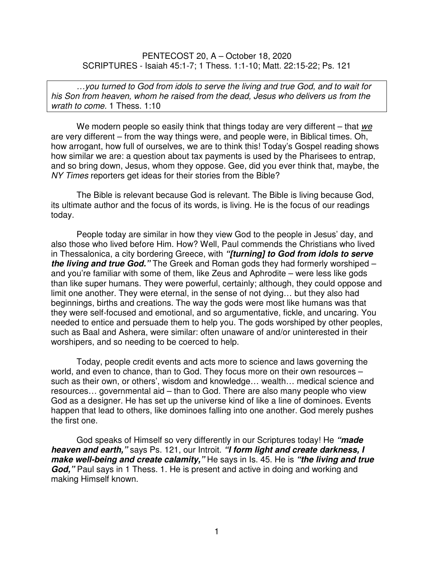PENTECOST 20, A – October 18, 2020 SCRIPTURES - Isaiah 45:1-7; 1 Thess. 1:1-10; Matt. 22:15-22; Ps. 121

…you turned to God from idols to serve the living and true God, and to wait for his Son from heaven, whom he raised from the dead, Jesus who delivers us from the wrath to come. 1 Thess. 1:10

We modern people so easily think that things today are very different  $-$  that we are very different – from the way things were, and people were, in Biblical times. Oh, how arrogant, how full of ourselves, we are to think this! Today's Gospel reading shows how similar we are: a question about tax payments is used by the Pharisees to entrap, and so bring down, Jesus, whom they oppose. Gee, did you ever think that, maybe, the NY Times reporters get ideas for their stories from the Bible?

The Bible is relevant because God is relevant. The Bible is living because God, its ultimate author and the focus of its words, is living. He is the focus of our readings today.

People today are similar in how they view God to the people in Jesus' day, and also those who lived before Him. How? Well, Paul commends the Christians who lived in Thessalonica, a city bordering Greece, with **"[turning] to God from idols to serve the living and true God."** The Greek and Roman gods they had formerly worshiped – and you're familiar with some of them, like Zeus and Aphrodite – were less like gods than like super humans. They were powerful, certainly; although, they could oppose and limit one another. They were eternal, in the sense of not dying… but they also had beginnings, births and creations. The way the gods were most like humans was that they were self-focused and emotional, and so argumentative, fickle, and uncaring. You needed to entice and persuade them to help you. The gods worshiped by other peoples, such as Baal and Ashera, were similar: often unaware of and/or uninterested in their worshipers, and so needing to be coerced to help.

Today, people credit events and acts more to science and laws governing the world, and even to chance, than to God. They focus more on their own resources – such as their own, or others', wisdom and knowledge… wealth… medical science and resources… governmental aid – than to God. There are also many people who view God as a designer. He has set up the universe kind of like a line of dominoes. Events happen that lead to others, like dominoes falling into one another. God merely pushes the first one.

God speaks of Himself so very differently in our Scriptures today! He **"made heaven and earth,"** says Ps. 121, our Introit. **"I form light and create darkness, I make well-being and create calamity,"** He says in Is. 45. He is **"the living and true**  God," Paul says in 1 Thess. 1. He is present and active in doing and working and making Himself known.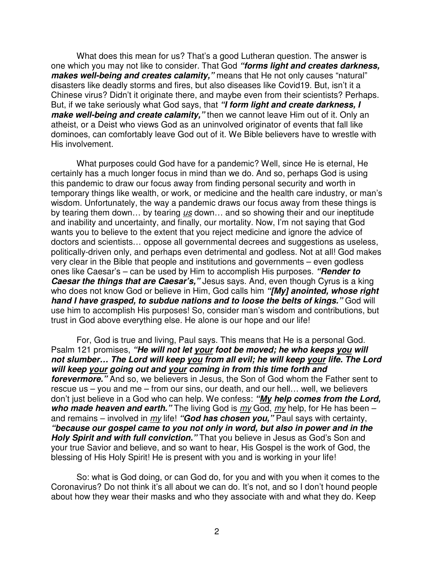What does this mean for us? That's a good Lutheran question. The answer is one which you may not like to consider. That God **"forms light and creates darkness,**  makes well-being and creates calamity," means that He not only causes "natural" disasters like deadly storms and fires, but also diseases like Covid19. But, isn't it a Chinese virus? Didn't it originate there, and maybe even from their scientists? Perhaps. But, if we take seriously what God says, that **"I form light and create darkness, I make well-being and create calamity,"** then we cannot leave Him out of it. Only an atheist, or a Deist who views God as an uninvolved originator of events that fall like dominoes, can comfortably leave God out of it. We Bible believers have to wrestle with His involvement.

What purposes could God have for a pandemic? Well, since He is eternal, He certainly has a much longer focus in mind than we do. And so, perhaps God is using this pandemic to draw our focus away from finding personal security and worth in temporary things like wealth, or work, or medicine and the health care industry, or man's wisdom. Unfortunately, the way a pandemic draws our focus away from these things is by tearing them down... by tearing us down... and so showing their and our ineptitude and inability and uncertainty, and finally, our mortality. Now, I'm not saying that God wants you to believe to the extent that you reject medicine and ignore the advice of doctors and scientists… oppose all governmental decrees and suggestions as useless, politically-driven only, and perhaps even detrimental and godless. Not at all! God makes very clear in the Bible that people and institutions and governments – even godless ones like Caesar's – can be used by Him to accomplish His purposes. **"Render to Caesar the things that are Caesar's,"** Jesus says. And, even though Cyrus is a king who does not know God or believe in Him, God calls him **"[My] anointed, whose right hand I have grasped, to subdue nations and to loose the belts of kings."** God will use him to accomplish His purposes! So, consider man's wisdom and contributions, but trust in God above everything else. He alone is our hope and our life!

 For, God is true and living, Paul says. This means that He is a personal God. Psalm 121 promises, **"He will not let your foot be moved; he who keeps you will not slumber… The Lord will keep you from all evil; he will keep your life. The Lord will keep your going out and your coming in from this time forth and forevermore."** And so, we believers in Jesus, the Son of God whom the Father sent to rescue us – you and me – from our sins, our death, and our hell… well, we believers don't just believe in a God who can help. We confess: **"My help comes from the Lord,**  who made heaven and earth." The living God is  $m\chi$  God,  $m\chi$  help, for He has been – and remains – involved in my life! **"God has chosen you,"** Paul says with certainty, **"because our gospel came to you not only in word, but also in power and in the Holy Spirit and with full conviction."** That you believe in Jesus as God's Son and your true Savior and believe, and so want to hear, His Gospel is the work of God, the blessing of His Holy Spirit! He is present with you and is working in your life!

So: what is God doing, or can God do, for you and with you when it comes to the Coronavirus? Do not think it's all about we can do. It's not, and so I don't hound people about how they wear their masks and who they associate with and what they do. Keep